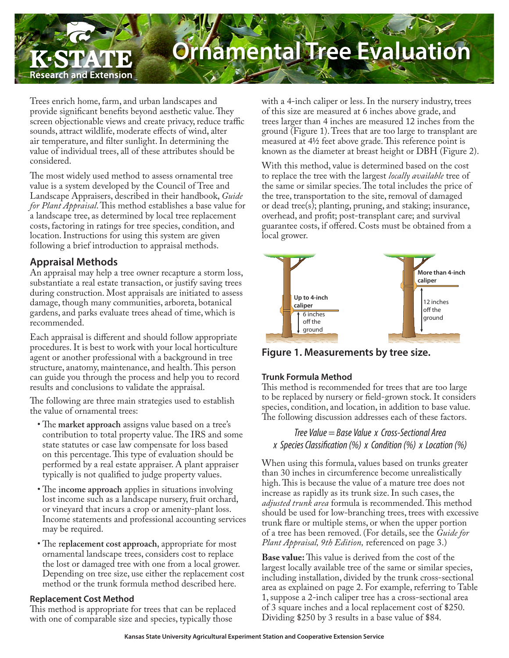# Research and Extension

# **hamental Tree Evaluation**

Trees enrich home, farm, and urban landscapes and provide significant benefits beyond aesthetic value. They screen objectionable views and create privacy, reduce traffic sounds, attract wildlife, moderate effects of wind, alter air temperature, and filter sunlight. In determining the value of individual trees, all of these attributes should be considered.

The most widely used method to assess ornamental tree value is a system developed by the Council of Tree and Landscape Appraisers, described in their handbook, *Guide for Plant Appraisal*. This method establishes a base value for a landscape tree, as determined by local tree replacement costs, factoring in ratings for tree species, condition, and location. Instructions for using this system are given following a brief introduction to appraisal methods.

# **Appraisal Methods**

An appraisal may help a tree owner recapture a storm loss, substantiate a real estate transaction, or justify saving trees during construction. Most appraisals are initiated to assess damage, though many communities, arboreta, botanical gardens, and parks evaluate trees ahead of time, which is recommended.

Each appraisal is different and should follow appropriate procedures. It is best to work with your local horticulture agent or another professional with a background in tree structure, anatomy, maintenance, and health. This person can guide you through the process and help you to record results and conclusions to validate the appraisal.

The following are three main strategies used to establish the value of ornamental trees:

- The **market approach** assigns value based on a tree's contribution to total property value. The IRS and some state statutes or case law compensate for loss based on this percentage. This type of evaluation should be performed by a real estate appraiser. A plant appraiser typically is not qualified to judge property values.
- The i**ncome approach** applies in situations involving lost income such as a landscape nursery, fruit orchard, or vineyard that incurs a crop or amenity-plant loss. Income statements and professional accounting services may be required.
- The r**eplacement cost approach**, appropriate for most ornamental landscape trees, considers cost to replace the lost or damaged tree with one from a local grower. Depending on tree size, use either the replacement cost method or the trunk formula method described here.

## **Replacement Cost Method**

This method is appropriate for trees that can be replaced with one of comparable size and species, typically those

with a 4-inch caliper or less. In the nursery industry, trees of this size are measured at 6 inches above grade, and trees larger than 4 inches are measured 12 inches from the ground (Figure 1). Trees that are too large to transplant are measured at 4½ feet above grade. This reference point is known as the diameter at breast height or DBH (Figure 2).

With this method, value is determined based on the cost to replace the tree with the largest *locally available* tree of the same or similar species. The total includes the price of the tree, transportation to the site, removal of damaged or dead tree(s); planting, pruning, and staking; insurance, overhead, and profit; post-transplant care; and survival guarantee costs, if offered. Costs must be obtained from a local grower.



**Figure 1. Measurements by tree size.**

## **Trunk Formula Method**

This method is recommended for trees that are too large to be replaced by nursery or field-grown stock. It considers species, condition, and location, in addition to base value. The following discussion addresses each of these factors.

# *Tree Value = Base Value x Cross-Sectional Area x Species Classification (%) x Condition (%) x Location (%)*

When using this formula, values based on trunks greater than 30 inches in circumference become unrealistically high. This is because the value of a mature tree does not increase as rapidly as its trunk size. In such cases, the *adjusted trunk area* formula is recommended. This method should be used for low-branching trees, trees with excessive trunk flare or multiple stems, or when the upper portion of a tree has been removed. (For details, see the *Guide for Plant Appraisal, 9th Edition,* referenced on page 3.)

**Base value:** This value is derived from the cost of the largest locally available tree of the same or similar species, including installation, divided by the trunk cross-sectional area as explained on page 2. For example, referring to Table 1, suppose a 2-inch caliper tree has a cross-sectional area of 3 square inches and a local replacement cost of \$250. Dividing \$250 by 3 results in a base value of \$84.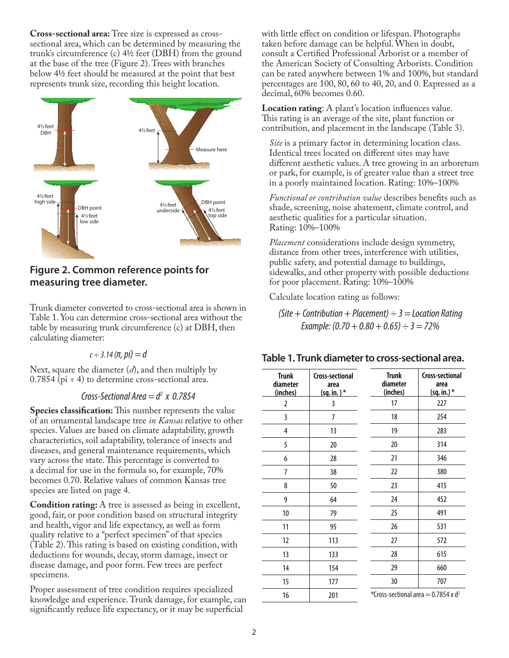**Cross-sectional area:** Tree size is expressed as crosssectional area, which can be determined by measuring the trunk's circumference (c) 4½ feet (DBH) from the ground at the base of the tree (Figure 2). Trees with branches below 4½ feet should be measured at the point that best represents trunk size, recording this height location.



# **Figure 2. Common reference points for measuring tree diameter.**

Trunk diameter converted to cross-sectional area is shown in Table 1. You can determine cross-sectional area without the table by measuring trunk circumference (c) at DBH, then calculating diameter:

#### $c \div 3.14$  (π, pi) = d

Next, square the diameter (*d*), and then multiply by  $0.7854$  (pi  $\div$  4) to determine cross-sectional area.

#### *Cross-Sectional Area = d2 x 0.7854*

**Species classification:** This number represents the value of an ornamental landscape tree *in Kansas* relative to other species. Values are based on climate adaptability, growth characteristics, soil adaptability, tolerance of insects and diseases, and general maintenance requirements, which vary across the state. This percentage is converted to a decimal for use in the formula so, for example, 70% becomes 0.70. Relative values of common Kansas tree species are listed on page 4.

**Condition rating:** A tree is assessed as being in excellent, good, fair, or poor condition based on structural integrity and health, vigor and life expectancy, as well as form quality relative to a "perfect specimen" of that species (Table 2). This rating is based on existing condition, with deductions for wounds, decay, storm damage, insect or disease damage, and poor form. Few trees are perfect specimens.

Proper assessment of tree condition requires specialized knowledge and experience. Trunk damage, for example, can significantly reduce life expectancy, or it may be superficial

with little effect on condition or lifespan. Photographs taken before damage can be helpful. When in doubt, consult a Certified Professional Arborist or a member of the American Society of Consulting Arborists. Condition can be rated anywhere between 1% and 100%, but standard percentages are 100, 80, 60 to 40, 20, and 0. Expressed as a decimal, 60% becomes 0.60.

**Location rating**: A plant's location influences value. This rating is an average of the site, plant function or contribution, and placement in the landscape (Table 3).

*Site* is a primary factor in determining location class. Identical trees located on different sites may have different aesthetic values. A tree growing in an arboretum or park, for example, is of greater value than a street tree in a poorly maintained location. Rating: 10%–100%

*Functional or contribution value* describes benefits such as shade, screening, noise abatement, climate control, and aesthetic qualities for a particular situation. Rating: 10%–100%

*Placement* considerations include design symmetry, distance from other trees, interference with utilities, public safety, and potential damage to buildings, sidewalks, and other property with possible deductions for poor placement. Rating: 10%–100%

Calculate location rating as follows:

*(Site + Contribution + Placement) ÷ 3 = Location Rating Example: (0.70 + 0.80 + 0.65) ÷ 3 = 72%*

#### **Table 1. Trunk diameter to cross-sectional area.**

| <b>Trunk</b><br>diameter<br>(inches) | Cross-sectional<br>area<br>$(sq.in.)$ * | <b>Trunk</b><br>diameter<br>(inches) | <b>Cross-sectional</b><br>area<br>(sq. in.) * |
|--------------------------------------|-----------------------------------------|--------------------------------------|-----------------------------------------------|
| $\overline{2}$                       | 3                                       | 17                                   | 227                                           |
| 3                                    | $\overline{7}$                          | 18                                   | 254                                           |
| 4                                    | 13                                      | 19                                   | 283                                           |
| 5                                    | 20                                      | 20                                   | 314                                           |
| 6                                    | 28                                      | 21                                   | 346                                           |
| 7                                    | 38                                      | 22                                   | 380                                           |
| 8                                    | 50                                      | 23                                   | 415                                           |
| 9                                    | 64                                      | 24                                   | 452                                           |
| 10                                   | 79                                      | 25                                   | 491                                           |
| 11                                   | 95                                      | 26                                   | 531                                           |
| 12                                   | 113                                     | 27                                   | 572                                           |
| 13                                   | 133                                     | 28                                   | 615                                           |
| 14                                   | 154                                     | 29                                   | 660                                           |
| 15                                   | 177                                     | 30                                   | 707                                           |
| 16                                   | 201                                     |                                      | *Cross-sectional area = 0.7854 x $d^2$        |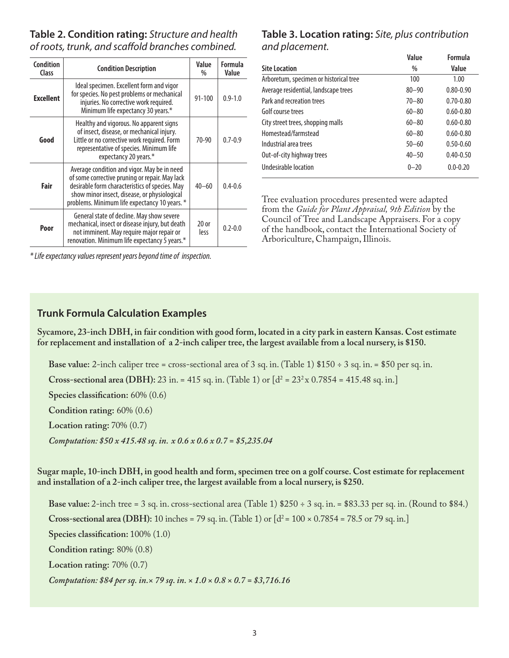# **Table 2. Condition rating:** *Structure and health of roots, trunk, and scaffold branches combined.*

| Condition<br>Class | <b>Condition Description</b>                                                                                                                                                                                                                     | Value<br>$\%$   | Formula<br>Value |
|--------------------|--------------------------------------------------------------------------------------------------------------------------------------------------------------------------------------------------------------------------------------------------|-----------------|------------------|
| <b>Excellent</b>   | Ideal specimen. Excellent form and vigor<br>for species. No pest problems or mechanical<br>injuries. No corrective work required.<br>Minimum life expectancy 30 years.*                                                                          | $91 - 100$      | $0.9 - 1.0$      |
| Good               | Healthy and vigorous. No apparent signs<br>of insect, disease, or mechanical injury.<br>Little or no corrective work required. Form<br>representative of species. Minimum life<br>expectancy 20 years.*                                          | $70 - 90$       | $0.7 - 0.9$      |
| Fair               | Average condition and vigor. May be in need<br>of some corrective pruning or repair. May lack<br>desirable form characteristics of species. May<br>show minor insect, disease, or physiological<br>problems. Minimum life expectancy 10 years. * | $40 - 60$       | $0.4 - 0.6$      |
| Poor               | General state of decline. May show severe<br>mechanical, insect or disease injury, but death<br>not imminent. May require major repair or<br>renovation. Minimum life expectancy 5 years.*                                                       | $20$ or<br>less | $0.2 - 0.0$      |

*\* Life expectancy values represent years beyond time of inspection.*

# **Table 3. Location rating:** *Site, plus contribution and placement.*

|                                        | Value     | Formula       |
|----------------------------------------|-----------|---------------|
| <b>Site Location</b>                   | $\%$      | Value         |
| Arboretum, specimen or historical tree | 100       | 1.00          |
| Average residential, landscape trees   | $80 - 90$ | $0.80 - 0.90$ |
| Park and recreation trees              | $70 - 80$ | $0.70 - 0.80$ |
| Golf course trees                      | $60 - 80$ | $0.60 - 0.80$ |
| City street trees, shopping malls      | $60 - 80$ | $0.60 - 0.80$ |
| Homestead/farmstead                    | $60 - 80$ | $0.60 - 0.80$ |
| Industrial area trees                  | $50 - 60$ | $0.50 - 0.60$ |
| Out-of-city highway trees              | $40 - 50$ | $0.40 - 0.50$ |
| Undesirable location                   | $0 - 20$  | $0.0 - 0.20$  |

Tree evaluation procedures presented were adapted from the *Guide for Plant Appraisal, 9th Edition* by the Council of Tree and Landscape Appraisers. For a copy of the handbook, contact the International Society of Arboriculture, Champaign, Illinois.

# **Trunk Formula Calculation Examples**

**Sycamore, 23-inch DBH, in fair condition with good form, located in a city park in eastern Kansas. Cost estimate for replacement and installation of a 2-inch caliper tree, the largest available from a local nursery, is \$150.** 

**Base value:** 2-inch caliper tree = cross-sectional area of 3 sq. in. (Table 1) \$150 ÷ 3 sq. in. = \$50 per sq. in.

**Cross-sectional area (DBH):** 23 in. = 415 sq. in. (Table 1) or  $\lfloor d^2 = 23^2 \times 0.7854 = 415.48$  sq. in. J

**Species classification:** 60% (0.6)

**Condition rating:** 60% (0.6)

**Location rating:** 70% (0.7)

*Computation: \$50 x 415.48 sq. in. x 0.6 x 0.6 x 0.7 = \$5,235.04*

**Sugar maple, 10-inch DBH, in good health and form, specimen tree on a golf course. Cost estimate for replacement and installation of a 2-inch caliper tree, the largest available from a local nursery, is \$250.** 

**Base value:** 2-inch tree = 3 sq. in. cross-sectional area (Table 1) \$250 ÷ 3 sq. in. = \$83.33 per sq. in. (Round to \$84.) **Cross-sectional area (DBH):** 10 inches = 79 sq. in. (Table 1) or  $[d^2 = 100 \times 0.7854 = 78.5$  or 79 sq. in.] **Species classification:** 100% (1.0) **Condition rating:** 80% (0.8) **Location rating:** 70% (0.7) *Computation: \$84 per sq. in.× 79 sq. in. × 1.0 × 0.8 × 0.7 = \$3,716.16*